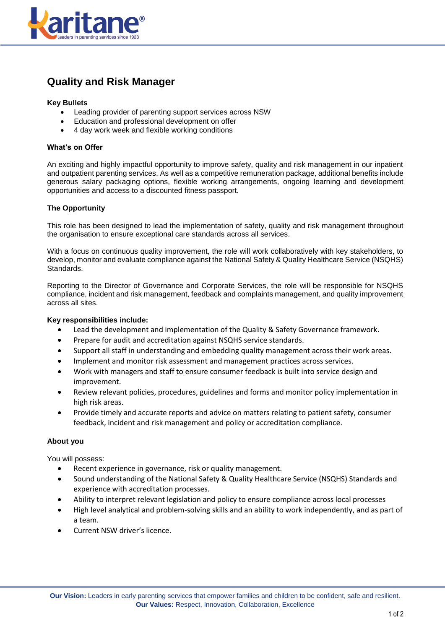

# **Quality and Risk Manager**

# **Key Bullets**

- Leading provider of parenting support services across NSW
- Education and professional development on offer
- 4 day work week and flexible working conditions

#### **What's on Offer**

An exciting and highly impactful opportunity to improve safety, quality and risk management in our inpatient and outpatient parenting services. As well as a competitive remuneration package, additional benefits include generous salary packaging options, flexible working arrangements, ongoing learning and development opportunities and access to a discounted fitness passport.

#### **The Opportunity**

This role has been designed to lead the implementation of safety, quality and risk management throughout the organisation to ensure exceptional care standards across all services.

With a focus on continuous quality improvement, the role will work collaboratively with key stakeholders, to develop, monitor and evaluate compliance against the National Safety & Quality Healthcare Service (NSQHS) Standards.

Reporting to the Director of Governance and Corporate Services, the role will be responsible for NSQHS compliance, incident and risk management, feedback and complaints management, and quality improvement across all sites.

# **Key responsibilities include:**

- Lead the development and implementation of the Quality & Safety Governance framework.
- Prepare for audit and accreditation against NSQHS service standards.
- Support all staff in understanding and embedding quality management across their work areas.
- Implement and monitor risk assessment and management practices across services.
- Work with managers and staff to ensure consumer feedback is built into service design and improvement.
- Review relevant policies, procedures, guidelines and forms and monitor policy implementation in high risk areas.
- Provide timely and accurate reports and advice on matters relating to patient safety, consumer feedback, incident and risk management and policy or accreditation compliance.

# **About you**

You will possess:

- Recent experience in governance, risk or quality management.
- Sound understanding of the National Safety & Quality Healthcare Service (NSQHS) Standards and experience with accreditation processes.
- Ability to interpret relevant legislation and policy to ensure compliance across local processes
- High level analytical and problem-solving skills and an ability to work independently, and as part of a team.
- Current NSW driver's licence.